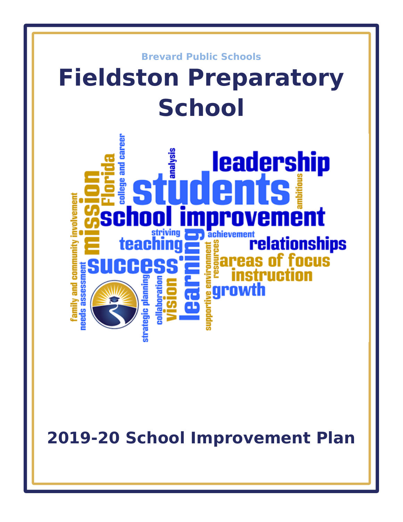

**2019-20 School Improvement Plan**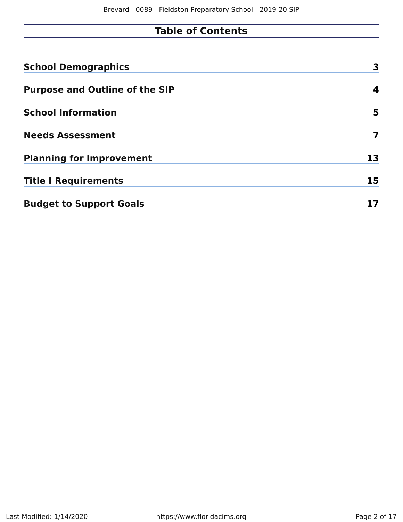# **Table of Contents**

| <b>School Demographics</b>            | 3  |
|---------------------------------------|----|
| <b>Purpose and Outline of the SIP</b> | 4  |
| <b>School Information</b>             | 5  |
| <b>Needs Assessment</b>               |    |
| <b>Planning for Improvement</b>       | 13 |
| <b>Title I Requirements</b>           | 15 |
| <b>Budget to Support Goals</b>        |    |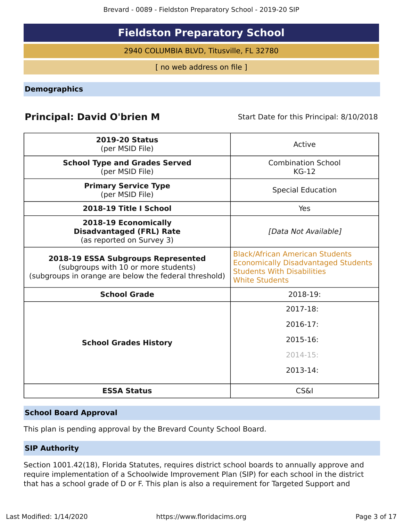# **Fieldston Preparatory School**

2940 COLUMBIA BLVD, Titusville, FL 32780

[ no web address on file ]

<span id="page-2-0"></span>**Demographics**

## **Principal: David O'brien M** Start Date for this Principal: 8/10/2018

| <b>2019-20 Status</b><br>(per MSID File)                                                                                            | Active                                                                                                                                             |
|-------------------------------------------------------------------------------------------------------------------------------------|----------------------------------------------------------------------------------------------------------------------------------------------------|
| <b>School Type and Grades Served</b><br>(per MSID File)                                                                             | <b>Combination School</b><br>$KG-12$                                                                                                               |
| <b>Primary Service Type</b><br>(per MSID File)                                                                                      | <b>Special Education</b>                                                                                                                           |
| 2018-19 Title I School                                                                                                              | Yes                                                                                                                                                |
| 2018-19 Economically<br><b>Disadvantaged (FRL) Rate</b><br>(as reported on Survey 3)                                                | [Data Not Available]                                                                                                                               |
| 2018-19 ESSA Subgroups Represented<br>(subgroups with 10 or more students)<br>(subgroups in orange are below the federal threshold) | <b>Black/African American Students</b><br><b>Economically Disadvantaged Students</b><br><b>Students With Disabilities</b><br><b>White Students</b> |
| <b>School Grade</b>                                                                                                                 | 2018-19:                                                                                                                                           |
|                                                                                                                                     | 2017-18:                                                                                                                                           |
|                                                                                                                                     | $2016 - 17$ :                                                                                                                                      |
| <b>School Grades History</b>                                                                                                        | 2015-16:                                                                                                                                           |
|                                                                                                                                     | $2014 - 15:$                                                                                                                                       |
|                                                                                                                                     | 2013-14:                                                                                                                                           |
| <b>ESSA Status</b>                                                                                                                  | <b>CS&amp;I</b>                                                                                                                                    |

## **School Board Approval**

This plan is pending approval by the Brevard County School Board.

## **SIP Authority**

Section 1001.42(18), Florida Statutes, requires district school boards to annually approve and require implementation of a Schoolwide Improvement Plan (SIP) for each school in the district that has a school grade of D or F. This plan is also a requirement for Targeted Support and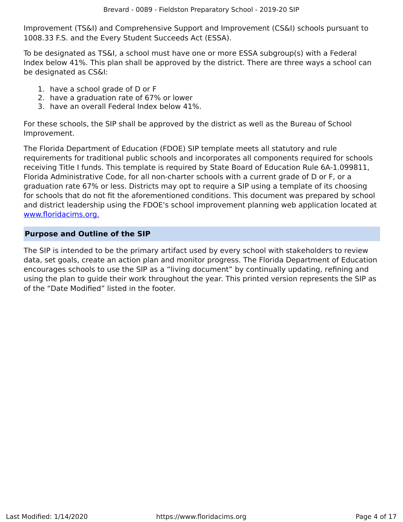Improvement (TS&I) and Comprehensive Support and Improvement (CS&I) schools pursuant to 1008.33 F.S. and the Every Student Succeeds Act (ESSA).

To be designated as TS&I, a school must have one or more ESSA subgroup(s) with a Federal Index below 41%. This plan shall be approved by the district. There are three ways a school can be designated as CS&I:

- 1. have a school grade of D or F
- 2. have a graduation rate of 67% or lower
- 3. have an overall Federal Index below 41%.

For these schools, the SIP shall be approved by the district as well as the Bureau of School Improvement.

The Florida Department of Education (FDOE) SIP template meets all statutory and rule requirements for traditional public schools and incorporates all components required for schools receiving Title I funds. This template is required by State Board of Education Rule 6A-1.099811, Florida Administrative Code, for all non-charter schools with a current grade of D or F, or a graduation rate 67% or less. Districts may opt to require a SIP using a template of its choosing for schools that do not fit the aforementioned conditions. This document was prepared by school and district leadership using the FDOE's school improvement planning web application located at [www.floridacims.org.](https://www.floridacims.org)

## <span id="page-3-0"></span>**Purpose and Outline of the SIP**

The SIP is intended to be the primary artifact used by every school with stakeholders to review data, set goals, create an action plan and monitor progress. The Florida Department of Education encourages schools to use the SIP as a "living document" by continually updating, refining and using the plan to guide their work throughout the year. This printed version represents the SIP as of the "Date Modified" listed in the footer.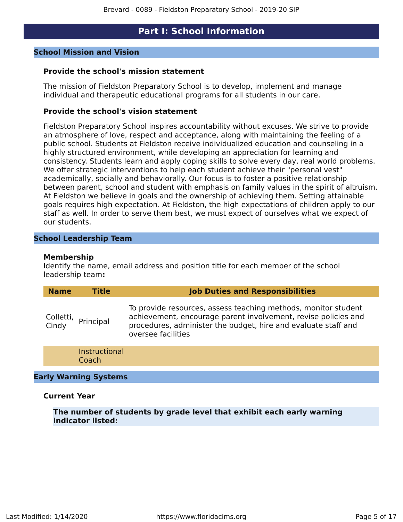## **Part I: School Information**

#### <span id="page-4-0"></span>**School Mission and Vision**

#### **Provide the school's mission statement**

The mission of Fieldston Preparatory School is to develop, implement and manage individual and therapeutic educational programs for all students in our care.

#### **Provide the school's vision statement**

Fieldston Preparatory School inspires accountability without excuses. We strive to provide an atmosphere of love, respect and acceptance, along with maintaining the feeling of a public school. Students at Fieldston receive individualized education and counseling in a highly structured environment, while developing an appreciation for learning and consistency. Students learn and apply coping skills to solve every day, real world problems. We offer strategic interventions to help each student achieve their "personal vest" academically, socially and behaviorally. Our focus is to foster a positive relationship between parent, school and student with emphasis on family values in the spirit of altruism. At Fieldston we believe in goals and the ownership of achieving them. Setting attainable goals requires high expectation. At Fieldston, the high expectations of children apply to our staff as well. In order to serve them best, we must expect of ourselves what we expect of our students.

#### **School Leadership Team**

#### **Membership**

Identify the name, email address and position title for each member of the school leadership team**:**

| <b>Name</b>        | <b>Title</b>                  | <b>Job Duties and Responsibilities</b>                                                                                                                                                                                   |
|--------------------|-------------------------------|--------------------------------------------------------------------------------------------------------------------------------------------------------------------------------------------------------------------------|
| Colletti,<br>Cindy | Principal                     | To provide resources, assess teaching methods, monitor student<br>achievement, encourage parent involvement, revise policies and<br>procedures, administer the budget, hire and evaluate staff and<br>oversee facilities |
|                    | <b>Instructional</b><br>Coach |                                                                                                                                                                                                                          |

#### **Early Warning Systems**

#### **Current Year**

**The number of students by grade level that exhibit each early warning indicator listed:**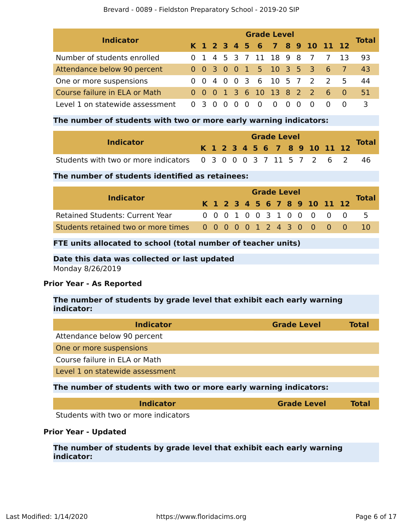| <b>Indicator</b>                | <b>Grade Level</b> |                |  |          |   |          |          |   |  |  |                              |  |    |              |
|---------------------------------|--------------------|----------------|--|----------|---|----------|----------|---|--|--|------------------------------|--|----|--------------|
|                                 |                    |                |  |          |   |          |          |   |  |  | K 1 2 3 4 5 6 7 8 9 10 11 12 |  |    | <b>Total</b> |
| Number of students enrolled     |                    |                |  |          |   |          |          |   |  |  | 0 1 4 5 3 7 11 18 9 8 7 7    |  | 13 | 93.          |
| Attendance below 90 percent     |                    |                |  |          |   |          |          |   |  |  | 0 0 3 0 0 1 5 10 3 5 3 6 7   |  |    | 43           |
| One or more suspensions         |                    |                |  |          |   |          |          |   |  |  | 0 0 4 0 0 3 6 10 5 7 2 2 5   |  |    | 44           |
| Course failure in ELA or Math   |                    |                |  |          |   |          |          |   |  |  | 0 0 0 1 3 6 10 13 8 2 2 6 0  |  |    | 51           |
| Level 1 on statewide assessment |                    | 0 <sub>3</sub> |  | $\Omega$ | 0 | $\Omega$ | $\Omega$ | 0 |  |  | $\Omega$                     |  |    | 3            |

## **The number of students with two or more early warning indicators:**

|                                                                    |  |  |  |  | <b>Grade Level</b> |  |                              |  |              |
|--------------------------------------------------------------------|--|--|--|--|--------------------|--|------------------------------|--|--------------|
| <b>Indicator</b>                                                   |  |  |  |  |                    |  | K 1 2 3 4 5 6 7 8 9 10 11 12 |  | <b>Total</b> |
| Students with two or more indicators 0 3 0 0 0 3 7 11 5 7 2 6 2 46 |  |  |  |  |                    |  |                              |  |              |

## **The number of students identified as retainees:**

| <b>Indicator</b>                                              |  | <b>Grade Level</b> |  |  |  |  |  |  |  |  |  |                              |  |              |
|---------------------------------------------------------------|--|--------------------|--|--|--|--|--|--|--|--|--|------------------------------|--|--------------|
|                                                               |  |                    |  |  |  |  |  |  |  |  |  | K 1 2 3 4 5 6 7 8 9 10 11 12 |  | <b>Total</b> |
| <b>Retained Students: Current Year</b>                        |  |                    |  |  |  |  |  |  |  |  |  | 0 0 0 1 0 0 3 1 0 0 0 0 0    |  | $-5$         |
| Students retained two or more times 0 0 0 0 0 1 2 4 3 0 0 0 0 |  |                    |  |  |  |  |  |  |  |  |  |                              |  | -10          |

## **FTE units allocated to school (total number of teacher units)**

## **Date this data was collected or last updated**

Monday 8/26/2019

## **Prior Year - As Reported**

## **The number of students by grade level that exhibit each early warning indicator:**

| <b>Indicator</b>                                                  | <b>Grade Level</b> | Total |
|-------------------------------------------------------------------|--------------------|-------|
| Attendance below 90 percent                                       |                    |       |
| One or more suspensions                                           |                    |       |
| Course failure in ELA or Math                                     |                    |       |
| Level 1 on statewide assessment                                   |                    |       |
| The number of students with two or more early warning indicators: |                    |       |
| Indicator                                                         | <b>Grade Level</b> | Total |

Students with two or more indicators

## **Prior Year - Updated**

**The number of students by grade level that exhibit each early warning indicator:**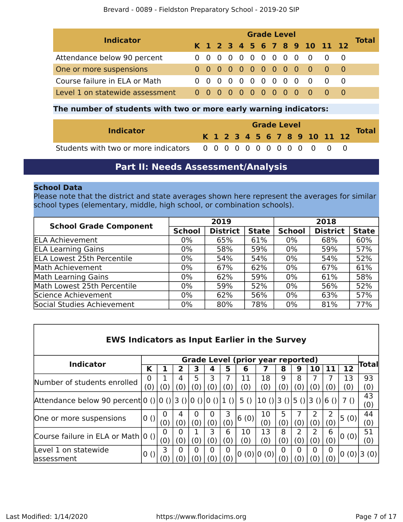| <b>Indicator</b>                | <b>Grade Level</b> |  |  |  |  |  |  |  |  |  |  |                              |  | Total |
|---------------------------------|--------------------|--|--|--|--|--|--|--|--|--|--|------------------------------|--|-------|
|                                 |                    |  |  |  |  |  |  |  |  |  |  | K 1 2 3 4 5 6 7 8 9 10 11 12 |  |       |
| Attendance below 90 percent     |                    |  |  |  |  |  |  |  |  |  |  | 0000000000000                |  |       |
| One or more suspensions         |                    |  |  |  |  |  |  |  |  |  |  | 0000000000000                |  |       |
| Course failure in ELA or Math   |                    |  |  |  |  |  |  |  |  |  |  | 0 0 0 0 0 0 0 0 0 0 0 0 0    |  |       |
| Level 1 on statewide assessment |                    |  |  |  |  |  |  |  |  |  |  | 0000000000000000             |  |       |

## **The number of students with two or more early warning indicators:**

|                  | <b>Grade Level</b> |  |  |  |  |  |  |  |  |  |  |                              |  |              |
|------------------|--------------------|--|--|--|--|--|--|--|--|--|--|------------------------------|--|--------------|
| <b>Indicator</b> |                    |  |  |  |  |  |  |  |  |  |  | K 1 2 3 4 5 6 7 8 9 10 11 12 |  | <b>Total</b> |
|                  |                    |  |  |  |  |  |  |  |  |  |  |                              |  |              |

## **Part II: Needs Assessment/Analysis**

## <span id="page-6-0"></span>**School Data**

Please note that the district and state averages shown here represent the averages for similar school types (elementary, middle, high school, or combination schools).

| <b>School Grade Component</b>     |               | 2019            |              | 2018          |                 |              |  |  |  |
|-----------------------------------|---------------|-----------------|--------------|---------------|-----------------|--------------|--|--|--|
|                                   | <b>School</b> | <b>District</b> | <b>State</b> | <b>School</b> | <b>District</b> | <b>State</b> |  |  |  |
| <b>ELA Achievement</b>            | 0%            | 65%             | 61%          | $0\%$         | 68%             | 60%          |  |  |  |
| <b>ELA Learning Gains</b>         | 0%            | 58%             | 59%          | $0\%$         | 59%             | 57%          |  |  |  |
| <b>ELA Lowest 25th Percentile</b> | 0%            | 54%             | 54%          | 0%            | 54%             | 52%          |  |  |  |
| Math Achievement                  | 0%            | 67%             | 62%          | $0\%$         | 67%             | 61%          |  |  |  |
| <b>Math Learning Gains</b>        | 0%            | 62%             | 59%          | $0\%$         | 61%             | 58%          |  |  |  |
| Math Lowest 25th Percentile       | 0%            | 59%             | 52%          | $0\%$         | 56%             | 52%          |  |  |  |
| Science Achievement               | $0\%$         | 62%             | 56%          | $0\%$         | 63%             | 57%          |  |  |  |
| Social Studies Achievement        | 0%            | 80%             | 78%          | 0%            | 81%             | 77%          |  |  |  |

| <b>EWS Indicators as Input Earlier in the Survey</b>         |     |          |          |          |          |          |           |                              |          |          |          |          |      |              |
|--------------------------------------------------------------|-----|----------|----------|----------|----------|----------|-----------|------------------------------|----------|----------|----------|----------|------|--------------|
| <b>Grade Level (prior year reported)</b><br><b>Indicator</b> |     |          |          |          |          |          |           |                              |          |          |          |          |      | <b>Total</b> |
|                                                              | К   |          | 2        | 3        | 4        | 5        | 6         |                              | 8        | 9        | 10       | 11       | 12   |              |
| Number of students enrolled                                  | 0   |          | 4        | 5.       | 3        |          | 11        | 18                           | q        | 8        |          |          | 13   | 93           |
|                                                              |     | (0)      | (0)      | (0)      | (0)      | (0)      | (0)       | (0)                          | (0)      | (0)      | (0       | (0)      | (0)  | (0)          |
| Attendance below 90 percent 0 () 0 () 3 () 0 () 0 () 1 ()    |     |          |          |          |          |          | 5()       | $ 10()$  3 () 5 () 3 () 6 () |          |          |          |          | 7 () | 43<br>(0)    |
| One or more suspensions                                      | 0() | (0)      | 4<br>(0) | 0<br>(0) | 0<br>(0) | 3<br>(0) | 6(0)      | 10<br>(0)                    | 5<br>(0) | (0)      | 2<br>(0) | 2<br>(0) | 5(0) | 44<br>(0)    |
| Course failure in ELA or Math   0 ()                         |     | 0<br>(0) | 0<br>(0) | (0)      | 3<br>(0) | 6<br>(0) | 10<br>(0) | 13<br>(0)                    | 8<br>(0) | 2<br>(0) | 2<br>(0) | 6<br>(0) | 0(0) | 51<br>(0)    |
| Level 1 on statewide<br>lassessment                          | 0() | 3        | O        | 0        | 0<br>(O) | 0<br>(೧) | 0(0) 0(0) |                              |          | 0        | 0        | 0<br>(0) |      | 0(0) 3(0)    |

 $\sqrt{ }$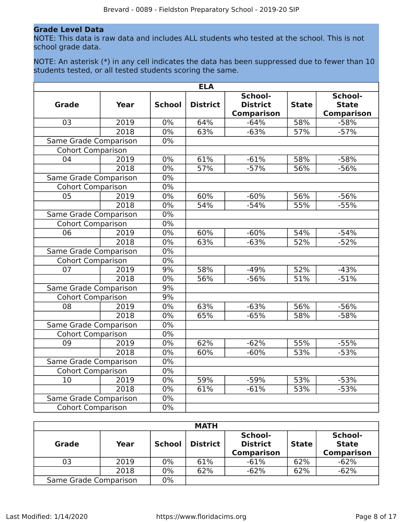### **Grade Level Data**

NOTE: This data is raw data and includes ALL students who tested at the school. This is not school grade data.

NOTE: An asterisk (\*) in any cell indicates the data has been suppressed due to fewer than 10 students tested, or all tested students scoring the same.

|                              |                   |               | <b>ELA</b>      |                                                 |              |                                              |
|------------------------------|-------------------|---------------|-----------------|-------------------------------------------------|--------------|----------------------------------------------|
| <b>Grade</b>                 | <b>Year</b>       | <b>School</b> | <b>District</b> | School-<br><b>District</b><br><b>Comparison</b> | <b>State</b> | School-<br><b>State</b><br><b>Comparison</b> |
| 03                           | 2019              | 0%            | 64%             | $-64%$                                          | 58%          | $-58%$                                       |
|                              | 2018              | 0%            | 63%             | $-63%$                                          | 57%          | $-57%$                                       |
| Same Grade Comparison        |                   | $0\%$         |                 |                                                 |              |                                              |
| <b>Cohort Comparison</b>     |                   |               |                 |                                                 |              |                                              |
| 04                           | 2019              | 0%            | 61%             | $-61%$                                          | 58%          | $-58%$                                       |
|                              | 2018              | 0%            | 57%             | $-57%$                                          | 56%          | $-56%$                                       |
| Same Grade Comparison        |                   | 0%            |                 |                                                 |              |                                              |
| <b>Cohort Comparison</b>     |                   | 0%            |                 |                                                 |              |                                              |
| 05                           | 2019              | 0%            | 60%             | $-60%$                                          | 56%          | $-56%$                                       |
|                              | $\overline{2018}$ | 0%            | 54%             | $-54%$                                          | 55%          | $-55%$                                       |
| Same Grade Comparison        |                   | 0%            |                 |                                                 |              |                                              |
| <b>Cohort Comparison</b>     |                   | $0\%$         |                 |                                                 |              |                                              |
| 06                           | 2019              | $0\%$         | 60%             | $-60%$                                          | 54%          | $-54%$                                       |
|                              | 2018              | $0\%$         | 63%             | $-63%$                                          | 52%          | $-52%$                                       |
| Same Grade Comparison        |                   | $0\%$         |                 |                                                 |              |                                              |
| <b>Cohort Comparison</b>     |                   | 0%            |                 |                                                 |              |                                              |
| 07                           | 2019              | 9%            | 58%             | $-49%$                                          | 52%          | $-43%$                                       |
|                              | 2018              | $0\%$         | 56%             | $-56%$                                          | 51%          | $-51%$                                       |
| Same Grade Comparison        |                   | 9%            |                 |                                                 |              |                                              |
| <b>Cohort Comparison</b>     |                   | 9%            |                 |                                                 |              |                                              |
| 08                           | 2019              | $0\%$         | 63%             | $-63%$                                          | 56%          | $-56%$                                       |
|                              | 2018              | $0\%$         | 65%             | $-65%$                                          | 58%          | $-58%$                                       |
| <b>Same Grade Comparison</b> |                   | $0\%$         |                 |                                                 |              |                                              |
| <b>Cohort Comparison</b>     |                   | 0%            |                 |                                                 |              |                                              |
| 09                           | 2019              | 0%            | 62%             | $-62%$                                          | 55%          | $-55%$                                       |
|                              | 2018              | $0\%$         | 60%             | $-60%$                                          | 53%          | $-53%$                                       |
| Same Grade Comparison        |                   | $0\%$         |                 |                                                 |              |                                              |
| <b>Cohort Comparison</b>     |                   | $0\%$         |                 |                                                 |              |                                              |
| 10                           | 2019              | $0\%$         | 59%             | $-59%$                                          | 53%          | $-53%$                                       |
|                              | 2018              | 0%            | 61%             | $-61%$                                          | 53%          | $-53%$                                       |
| Same Grade Comparison        |                   | $0\%$         |                 |                                                 |              |                                              |
| <b>Cohort Comparison</b>     |                   | $0\%$         |                 |                                                 |              |                                              |

| <b>MATH</b>           |      |               |                 |                                                 |              |                                              |
|-----------------------|------|---------------|-----------------|-------------------------------------------------|--------------|----------------------------------------------|
| Grade                 | Year | <b>School</b> | <b>District</b> | School-<br><b>District</b><br><b>Comparison</b> | <b>State</b> | School-<br><b>State</b><br><b>Comparison</b> |
| 03                    | 2019 | 0%            | 61%             | $-61%$                                          | 62%          | $-62%$                                       |
|                       | 2018 | 0%            | 62%             | $-62%$                                          | 62%          | $-62%$                                       |
| Same Grade Comparison |      | 0%            |                 |                                                 |              |                                              |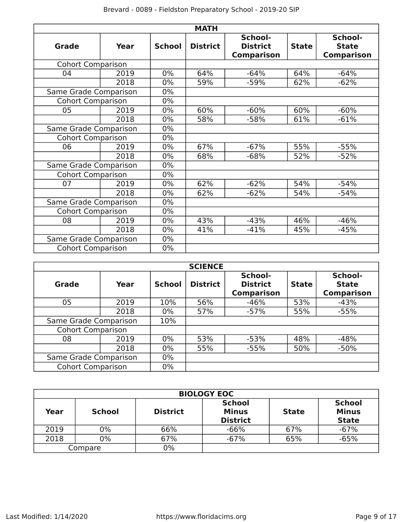| <b>MATH</b>              |      |               |                                                                    |        |              |                                              |
|--------------------------|------|---------------|--------------------------------------------------------------------|--------|--------------|----------------------------------------------|
| Grade                    | Year | <b>School</b> | School-<br><b>District</b><br><b>District</b><br><b>Comparison</b> |        | <b>State</b> | School-<br><b>State</b><br><b>Comparison</b> |
| <b>Cohort Comparison</b> |      |               |                                                                    |        |              |                                              |
| 04                       | 2019 | 0%            | 64%                                                                | $-64%$ | 64%          | $-64%$                                       |
|                          | 2018 | $0\%$         | 59%                                                                | $-59%$ | 62%          | $-62%$                                       |
| Same Grade Comparison    |      | $0\%$         |                                                                    |        |              |                                              |
| <b>Cohort Comparison</b> |      | $0\%$         |                                                                    |        |              |                                              |
| 05                       | 2019 | $0\%$         | 60%                                                                | $-60%$ | 60%          | $-60%$                                       |
|                          | 2018 | $0\%$         | 58%                                                                | $-58%$ | 61%          | $-61%$                                       |
| Same Grade Comparison    |      | 0%            |                                                                    |        |              |                                              |
| <b>Cohort Comparison</b> |      | $0\%$         |                                                                    |        |              |                                              |
| 06                       | 2019 | $0\%$         | 67%                                                                | $-67%$ | 55%          | $-55%$                                       |
|                          | 2018 | $0\%$         | 68%                                                                | $-68%$ | 52%          | $-52%$                                       |
| Same Grade Comparison    |      | $0\%$         |                                                                    |        |              |                                              |
| <b>Cohort Comparison</b> |      | $0\%$         |                                                                    |        |              |                                              |
| 07                       | 2019 | $0\%$         | 62%                                                                | $-62%$ | 54%          | $-54%$                                       |
|                          | 2018 | $0\%$         | 62%                                                                | $-62%$ | 54%          | $-54%$                                       |
| Same Grade Comparison    |      | $0\%$         |                                                                    |        |              |                                              |
| <b>Cohort Comparison</b> |      | $0\%$         |                                                                    |        |              |                                              |
| 08                       | 2019 | $0\%$         | 43%                                                                | $-43%$ | 46%          | $-46%$                                       |
|                          | 2018 | $0\%$         | 41%                                                                | $-41%$ | 45%          | $-45%$                                       |
| Same Grade Comparison    |      | $0\%$         |                                                                    |        |              |                                              |
| <b>Cohort Comparison</b> |      | 0%            |                                                                    |        |              |                                              |

| <b>SCIENCE</b>           |      |               |                 |                                                 |              |                                              |
|--------------------------|------|---------------|-----------------|-------------------------------------------------|--------------|----------------------------------------------|
| Grade                    | Year | <b>School</b> | <b>District</b> | School-<br><b>District</b><br><b>Comparison</b> | <b>State</b> | School-<br><b>State</b><br><b>Comparison</b> |
| 05                       | 2019 | 10%           | 56%             | $-46%$                                          | 53%          | $-43%$                                       |
|                          | 2018 | $0\%$         | 57%             | $-57%$                                          | 55%          | $-55%$                                       |
| Same Grade Comparison    |      | 10%           |                 |                                                 |              |                                              |
| <b>Cohort Comparison</b> |      |               |                 |                                                 |              |                                              |
| 08                       | 2019 | $0\%$         | 53%             | $-53%$                                          | 48%          | $-48%$                                       |
|                          | 2018 | $0\%$         | 55%             | $-55%$                                          | 50%          | $-50%$                                       |
| Same Grade Comparison    |      | $0\%$         |                 |                                                 |              |                                              |
| <b>Cohort Comparison</b> |      | $0\%$         |                 |                                                 |              |                                              |

|         | <b>BIOLOGY EOC</b> |                 |                                                  |              |                                               |  |  |
|---------|--------------------|-----------------|--------------------------------------------------|--------------|-----------------------------------------------|--|--|
| Year    | <b>School</b>      | <b>District</b> | <b>School</b><br><b>Minus</b><br><b>District</b> | <b>State</b> | <b>School</b><br><b>Minus</b><br><b>State</b> |  |  |
| 2019    | 0%                 | 66%             | $-66%$                                           | 67%          | $-67%$                                        |  |  |
| 2018    | 0%                 | 67%             | $-67%$                                           | 65%          | $-65%$                                        |  |  |
| Compare |                    | 0%              |                                                  |              |                                               |  |  |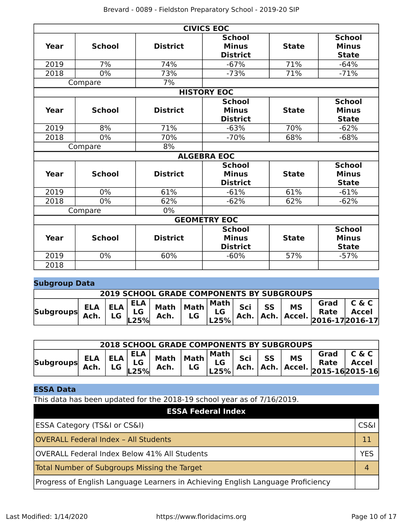|               |               |                 | <b>CIVICS EOC</b>   |              |               |
|---------------|---------------|-----------------|---------------------|--------------|---------------|
|               |               |                 | <b>School</b>       |              | <b>School</b> |
| Year          | <b>School</b> | <b>District</b> | <b>Minus</b>        | <b>State</b> | <b>Minus</b>  |
|               |               |                 | <b>District</b>     |              | <b>State</b>  |
| 2019          | 7%            | 74%             | $-67%$              | 71%          | $-64%$        |
| 2018          | $0\%$         | 73%             | $-73%$              | 71%          | $-71%$        |
|               | Compare       | 7%              |                     |              |               |
|               |               |                 | <b>HISTORY EOC</b>  |              |               |
|               |               |                 | <b>School</b>       |              | <b>School</b> |
| Year          | <b>School</b> | <b>District</b> | <b>Minus</b>        | <b>State</b> | <b>Minus</b>  |
|               |               |                 | <b>District</b>     |              | <b>State</b>  |
| 2019          | 8%            | 71%             | $-63%$              | 70%          | $-62%$        |
| 2018          | 0%            | 70%             | $-70%$              | 68%          | $-68%$        |
| 8%<br>Compare |               |                 |                     |              |               |
|               |               |                 | <b>ALGEBRA EOC</b>  |              |               |
|               |               |                 | <b>School</b>       |              | <b>School</b> |
| Year          | <b>School</b> | <b>District</b> | <b>Minus</b>        | <b>State</b> | <b>Minus</b>  |
|               |               |                 | <b>District</b>     |              | <b>State</b>  |
| 2019          | 0%            | 61%             | $-61%$              | 61%          | $-61%$        |
| 2018          | $0\%$         | 62%             | $-62%$              | 62%          | $-62%$        |
|               | Compare       | $0\%$           |                     |              |               |
|               |               |                 | <b>GEOMETRY EOC</b> |              |               |
|               |               |                 | <b>School</b>       |              | <b>School</b> |
| <b>Year</b>   | <b>School</b> | <b>District</b> | <b>Minus</b>        | <b>State</b> | <b>Minus</b>  |
|               |               |                 | <b>District</b>     |              | <b>State</b>  |
| 2019          | 0%            | 60%             | $-60%$              | 57%          | $-57%$        |
| 2018          |               |                 |                     |              |               |

## **Subgroup Data**

| <b>2019 SCHOOL GRADE COMPONENTS BY SUBGROUPS</b> |  |  |  |  |  |  |  |  |  |
|--------------------------------------------------|--|--|--|--|--|--|--|--|--|
| <b>Subgroups</b>                                 |  |  |  |  |  |  |  |  |  |

| <b>2018 SCHOOL GRADE COMPONENTS BY SUBGROUPS</b> |                                                                                                                                             |    |      |                                                 |    |  |        |  |           |                                                                                                                                                                                                               |       |
|--------------------------------------------------|---------------------------------------------------------------------------------------------------------------------------------------------|----|------|-------------------------------------------------|----|--|--------|--|-----------|---------------------------------------------------------------------------------------------------------------------------------------------------------------------------------------------------------------|-------|
| <b>Subgroups</b>                                 | $\begin{array}{ c c c c c }\n\hline\n\text{Ach} & \text{I.G} & \text{LG}\n\hline\n\text{Ach} & \text{I.G} & \text{LG}\n\hline\n\end{array}$ | LG | L25% | $ \mathsf{ELA} $ Math $ \mathsf{Math} $<br>Ach. | LG |  | Sci SS |  | <b>MS</b> | Grad<br>$\begin{array}{c c c c c} \n\text{LG} & \text{SCI} & \text{S3} & \text{N13} & \text{Rate} & \text{Accel} \\ \n\text{L25%} & \text{Ach.} & \text{Ach.} & \text{Accel.} & \text{2015-16} \n\end{array}$ | C & C |

## **ESSA Data**

This data has been updated for the 2018-19 school year as of 7/16/2019.

| <b>ESSA Federal Index</b>                                                       |            |
|---------------------------------------------------------------------------------|------------|
| <b>ESSA Category (TS&amp;I or CS&amp;I)</b>                                     | CS&l       |
| <b>OVERALL Federal Index - All Students</b>                                     |            |
| OVERALL Federal Index Below 41% All Students                                    | <b>YES</b> |
| Total Number of Subgroups Missing the Target                                    |            |
| Progress of English Language Learners in Achieving English Language Proficiency |            |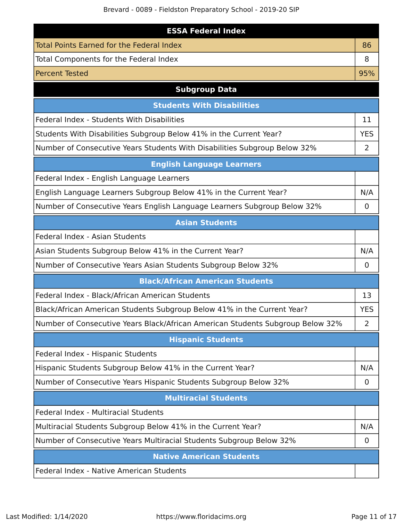Brevard - 0089 - Fieldston Preparatory School - 2019-20 SIP

| <b>ESSA Federal Index</b>                                                      |                |
|--------------------------------------------------------------------------------|----------------|
| <b>Total Points Earned for the Federal Index</b>                               | 86             |
| Total Components for the Federal Index                                         | 8              |
| <b>Percent Tested</b>                                                          | 95%            |
| <b>Subgroup Data</b>                                                           |                |
| <b>Students With Disabilities</b>                                              |                |
| Federal Index - Students With Disabilities                                     | 11             |
| Students With Disabilities Subgroup Below 41% in the Current Year?             | <b>YES</b>     |
| Number of Consecutive Years Students With Disabilities Subgroup Below 32%      | 2              |
| <b>English Language Learners</b>                                               |                |
| Federal Index - English Language Learners                                      |                |
| English Language Learners Subgroup Below 41% in the Current Year?              | N/A            |
| Number of Consecutive Years English Language Learners Subgroup Below 32%       | 0              |
| <b>Asian Students</b>                                                          |                |
| Federal Index - Asian Students                                                 |                |
| Asian Students Subgroup Below 41% in the Current Year?                         | N/A            |
| Number of Consecutive Years Asian Students Subgroup Below 32%                  | 0              |
| <b>Black/African American Students</b>                                         |                |
| Federal Index - Black/African American Students                                | 13             |
| Black/African American Students Subgroup Below 41% in the Current Year?        | <b>YES</b>     |
| Number of Consecutive Years Black/African American Students Subgroup Below 32% | $\overline{2}$ |
| <b>Hispanic Students</b>                                                       |                |
| Federal Index - Hispanic Students                                              |                |
| Hispanic Students Subgroup Below 41% in the Current Year?                      | N/A            |
| Number of Consecutive Years Hispanic Students Subgroup Below 32%               | $\mathbf 0$    |
| <b>Multiracial Students</b>                                                    |                |
| Federal Index - Multiracial Students                                           |                |
| Multiracial Students Subgroup Below 41% in the Current Year?                   | N/A            |
| Number of Consecutive Years Multiracial Students Subgroup Below 32%            | 0              |
| <b>Native American Students</b>                                                |                |
| Federal Index - Native American Students                                       |                |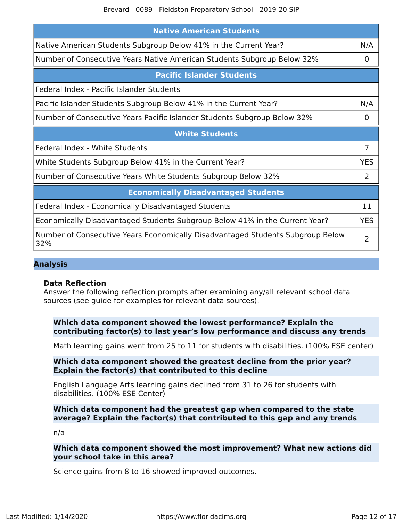| <b>Native American Students</b>                                                       |                |
|---------------------------------------------------------------------------------------|----------------|
| Native American Students Subgroup Below 41% in the Current Year?                      | N/A            |
| Number of Consecutive Years Native American Students Subgroup Below 32%               | 0              |
| <b>Pacific Islander Students</b>                                                      |                |
| Federal Index - Pacific Islander Students                                             |                |
| Pacific Islander Students Subgroup Below 41% in the Current Year?                     | N/A            |
| Number of Consecutive Years Pacific Islander Students Subgroup Below 32%              | 0              |
| <b>White Students</b>                                                                 |                |
| Federal Index - White Students                                                        | $\overline{7}$ |
| White Students Subgroup Below 41% in the Current Year?                                | <b>YES</b>     |
| Number of Consecutive Years White Students Subgroup Below 32%                         | 2              |
| <b>Economically Disadvantaged Students</b>                                            |                |
| Federal Index - Economically Disadvantaged Students                                   | 11             |
| Economically Disadvantaged Students Subgroup Below 41% in the Current Year?           | <b>YES</b>     |
| Number of Consecutive Years Economically Disadvantaged Students Subgroup Below<br>32% | 2              |

## **Analysis**

## **Data Reflection**

Answer the following reflection prompts after examining any/all relevant school data sources (see guide for examples for relevant data sources).

**Which data component showed the lowest performance? Explain the contributing factor(s) to last year's low performance and discuss any trends**

Math learning gains went from 25 to 11 for students with disabilities. (100% ESE center)

### **Which data component showed the greatest decline from the prior year? Explain the factor(s) that contributed to this decline**

English Language Arts learning gains declined from 31 to 26 for students with disabilities. (100% ESE Center)

## **Which data component had the greatest gap when compared to the state average? Explain the factor(s) that contributed to this gap and any trends**

n/a

### **Which data component showed the most improvement? What new actions did your school take in this area?**

Science gains from 8 to 16 showed improved outcomes.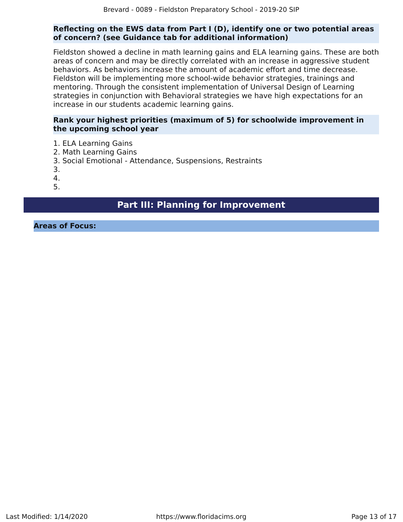## **Reflecting on the EWS data from Part I (D), identify one or two potential areas of concern? (see Guidance tab for additional information)**

Fieldston showed a decline in math learning gains and ELA learning gains. These are both areas of concern and may be directly correlated with an increase in aggressive student behaviors. As behaviors increase the amount of academic effort and time decrease. Fieldston will be implementing more school-wide behavior strategies, trainings and mentoring. Through the consistent implementation of Universal Design of Learning strategies in conjunction with Behavioral strategies we have high expectations for an increase in our students academic learning gains.

## **Rank your highest priorities (maximum of 5) for schoolwide improvement in the upcoming school year**

- 1. ELA Learning Gains
- 2. Math Learning Gains
- 3. Social Emotional Attendance, Suspensions, Restraints
- 3.

4.

5.

## **Part III: Planning for Improvement**

<span id="page-12-0"></span>**Areas of Focus:**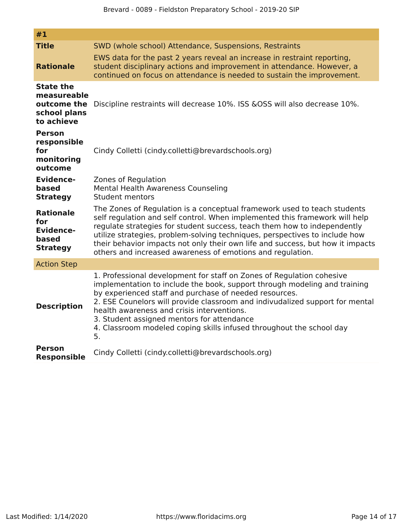| #1                                                                           |                                                                                                                                                                                                                                                                                                                                                                                                                                                                        |
|------------------------------------------------------------------------------|------------------------------------------------------------------------------------------------------------------------------------------------------------------------------------------------------------------------------------------------------------------------------------------------------------------------------------------------------------------------------------------------------------------------------------------------------------------------|
| <b>Title</b><br><b>Rationale</b>                                             | SWD (whole school) Attendance, Suspensions, Restraints<br>EWS data for the past 2 years reveal an increase in restraint reporting,<br>student disciplinary actions and improvement in attendance. However, a<br>continued on focus on attendance is needed to sustain the improvement.                                                                                                                                                                                 |
| <b>State the</b><br>measureable<br>outcome the<br>school plans<br>to achieve | Discipline restraints will decrease 10%. ISS & OSS will also decrease 10%.                                                                                                                                                                                                                                                                                                                                                                                             |
| <b>Person</b><br>responsible<br>for<br>monitoring<br>outcome                 | Cindy Colletti (cindy.colletti@brevardschools.org)                                                                                                                                                                                                                                                                                                                                                                                                                     |
| <b>Evidence-</b><br>based<br><b>Strategy</b>                                 | Zones of Regulation<br><b>Mental Health Awareness Counseling</b><br>Student mentors                                                                                                                                                                                                                                                                                                                                                                                    |
| <b>Rationale</b><br>for<br><b>Evidence-</b><br>based<br><b>Strategy</b>      | The Zones of Regulation is a conceptual framework used to teach students<br>self regulation and self control. When implemented this framework will help<br>regulate strategies for student success, teach them how to independently<br>utilize strategies, problem-solving techniques, perspectives to include how<br>their behavior impacts not only their own life and success, but how it impacts<br>others and increased awareness of emotions and regulation.     |
| <b>Action Step</b>                                                           |                                                                                                                                                                                                                                                                                                                                                                                                                                                                        |
| <b>Description</b>                                                           | 1. Professional development for staff on Zones of Regulation cohesive<br>implementation to include the book, support through modeling and training<br>by experienced staff and purchase of needed resources.<br>2. ESE Counelors will provide classroom and indivudalized support for mental<br>health awareness and crisis interventions.<br>3. Student assigned mentors for attendance<br>4. Classroom modeled coping skills infused throughout the school day<br>5. |
| Person<br><b>Responsible</b>                                                 | Cindy Colletti (cindy.colletti@brevardschools.org)                                                                                                                                                                                                                                                                                                                                                                                                                     |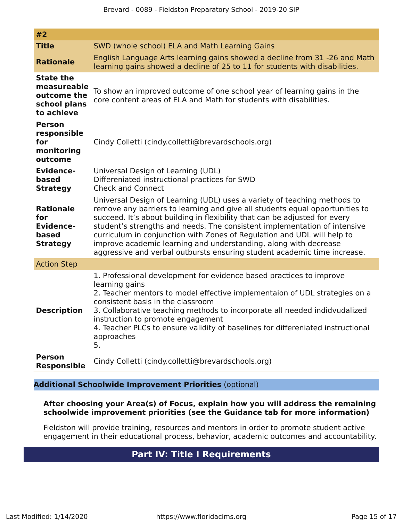| #2                                                                           |                                                                                                                                                                                                                                                                                                                                                                                                                                                                                                                                                |
|------------------------------------------------------------------------------|------------------------------------------------------------------------------------------------------------------------------------------------------------------------------------------------------------------------------------------------------------------------------------------------------------------------------------------------------------------------------------------------------------------------------------------------------------------------------------------------------------------------------------------------|
| <b>Title</b>                                                                 | SWD (whole school) ELA and Math Learning Gains                                                                                                                                                                                                                                                                                                                                                                                                                                                                                                 |
| <b>Rationale</b>                                                             | English Language Arts learning gains showed a decline from 31 -26 and Math<br>learning gains showed a decline of 25 to 11 for students with disabilities.                                                                                                                                                                                                                                                                                                                                                                                      |
| <b>State the</b><br>measureable<br>outcome the<br>school plans<br>to achieve | To show an improved outcome of one school year of learning gains in the<br>core content areas of ELA and Math for students with disabilities.                                                                                                                                                                                                                                                                                                                                                                                                  |
| <b>Person</b><br>responsible<br>for<br>monitoring<br>outcome                 | Cindy Colletti (cindy.colletti@brevardschools.org)                                                                                                                                                                                                                                                                                                                                                                                                                                                                                             |
| <b>Evidence-</b><br>based<br><b>Strategy</b>                                 | Universal Design of Learning (UDL)<br>Differeniated instructional practices for SWD<br><b>Check and Connect</b>                                                                                                                                                                                                                                                                                                                                                                                                                                |
| <b>Rationale</b><br>for<br><b>Evidence-</b><br>based<br><b>Strategy</b>      | Universal Design of Learning (UDL) uses a variety of teaching methods to<br>remove any barriers to learning and give all students equal opportunities to<br>succeed. It's about building in flexibility that can be adjusted for every<br>student's strengths and needs. The consistent implementation of intensive<br>curriculum in conjunction with Zones of Regulation and UDL will help to<br>improve academic learning and understanding, along with decrease<br>aggressive and verbal outbursts ensuring student academic time increase. |
| <b>Action Step</b>                                                           |                                                                                                                                                                                                                                                                                                                                                                                                                                                                                                                                                |
| <b>Description</b>                                                           | 1. Professional development for evidence based practices to improve<br>learning gains<br>2. Teacher mentors to model effective implementaion of UDL strategies on a<br>consistent basis in the classroom<br>3. Collaborative teaching methods to incorporate all needed indidvudalized<br>instruction to promote engagement<br>4. Teacher PLCs to ensure validity of baselines for differeniated instructional<br>approaches<br>5.                                                                                                             |
| <b>Person</b><br><b>Responsible</b>                                          | Cindy Colletti (cindy.colletti@brevardschools.org)                                                                                                                                                                                                                                                                                                                                                                                                                                                                                             |

## **Additional Schoolwide Improvement Priorities** (optional)

## **After choosing your Area(s) of Focus, explain how you will address the remaining schoolwide improvement priorities (see the Guidance tab for more information)**

<span id="page-14-0"></span>Fieldston will provide training, resources and mentors in order to promote student active engagement in their educational process, behavior, academic outcomes and accountability.

## **Part IV: Title I Requirements**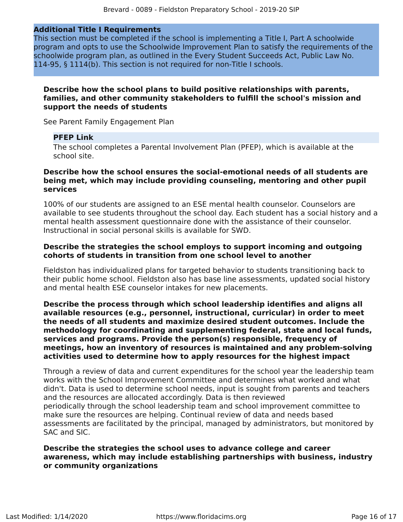### **Additional Title I Requirements**

This section must be completed if the school is implementing a Title I, Part A schoolwide program and opts to use the Schoolwide Improvement Plan to satisfy the requirements of the schoolwide program plan, as outlined in the Every Student Succeeds Act, Public Law No. 114-95, § 1114(b). This section is not required for non-Title I schools.

### **Describe how the school plans to build positive relationships with parents, families, and other community stakeholders to fulfill the school's mission and support the needs of students**

See Parent Family Engagement Plan

### **PFEP Link**

The school completes a Parental Involvement Plan (PFEP), which is available at the school site.

## **Describe how the school ensures the social-emotional needs of all students are being met, which may include providing counseling, mentoring and other pupil services**

100% of our students are assigned to an ESE mental health counselor. Counselors are available to see students throughout the school day. Each student has a social history and a mental health assessment questionnaire done with the assistance of their counselor. Instructional in social personal skills is available for SWD.

## **Describe the strategies the school employs to support incoming and outgoing cohorts of students in transition from one school level to another**

Fieldston has individualized plans for targeted behavior to students transitioning back to their public home school. Fieldston also has base line assessments, updated social history and mental health ESE counselor intakes for new placements.

**Describe the process through which school leadership identifies and aligns all available resources (e.g., personnel, instructional, curricular) in order to meet the needs of all students and maximize desired student outcomes. Include the methodology for coordinating and supplementing federal, state and local funds, services and programs. Provide the person(s) responsible, frequency of meetings, how an inventory of resources is maintained and any problem-solving activities used to determine how to apply resources for the highest impact**

Through a review of data and current expenditures for the school year the leadership team works with the School Improvement Committee and determines what worked and what didn't. Data is used to determine school needs, input is sought from parents and teachers and the resources are allocated accordingly. Data is then reviewed periodically through the school leadership team and school improvement committee to make sure the resources are helping. Continual review of data and needs based assessments are facilitated by the principal, managed by administrators, but monitored by SAC and SIC.

**Describe the strategies the school uses to advance college and career awareness, which may include establishing partnerships with business, industry or community organizations**